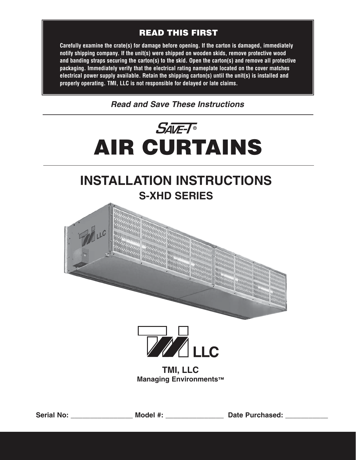#### **READ THIS FIRST**

**Carefully examine the crate(s) for damage before opening. If the carton is damaged, immediately notify shipping company. If the unit(s) were shipped on wooden skids, remove protective wood and banding straps securing the carton(s) to the skid. Open the carton(s) and remove all protective packaging. Immediately verify that the electrical rating nameplate located on the cover matches electrical power supply available. Retain the shipping carton(s) until the unit(s) is installed and properly operating. TMI, LLC is not responsible for delayed or late claims.**

*Read and Save These Instructions*



# **INSTALLATION INSTRUCTIONS S-XHD SERIES**





**TMI, LLC Managing Environments™**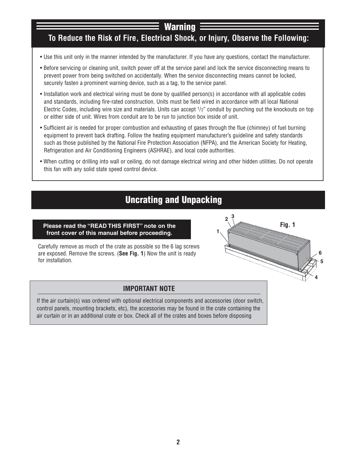### **Warning**

#### **To Reduce the Risk of Fire, Electrical Shock, or Injury, Observe the Following:**

- Use this unit only in the manner intended by the manufacturer. If you have any questions, contact the manufacturer.
- Before servicing or cleaning unit, switch power off at the service panel and lock the service disconnecting means to prevent power from being switched on accidentally. When the service disconnecting means cannot be locked, securely fasten a prominent warning device, such as a tag, to the service panel.
- Installation work and electrical wiring must be done by qualified person(s) in accordance with all applicable codes and standards, including fire-rated construction. Units must be field wired in accordance with all local National Electric Codes, including wire size and materials. Units can accept 1/2" conduit by punching out the knockouts on top or either side of unit. Wires from conduit are to be run to junction box inside of unit.
- Sufficient air is needed for proper combustion and exhausting of gases through the flue (chimney) of fuel burning equipment to prevent back drafting. Follow the heating equipment manufacturer's guideline and safety standards such as those published by the National Fire Protection Association (NFPA), and the American Society for Heating, Refrigeration and Air Conditioning Engineers (ASHRAE), and local code authorities.
- When cutting or drilling into wall or ceiling, do not damage electrical wiring and other hidden utilities. Do not operate this fan with any solid state speed control device.

## **Uncrating and Unpacking**

#### **Please read the "READ THIS FIRST" note on the front cover of this manual before proceeding. 1**

Carefully remove as much of the crate as possible so the 6 lag screws are exposed. Remove the screws. (**See Fig. 1**) Now the unit is ready for installation.

#### **IMPORTANT NOTE**

If the air curtain(s) was ordered with optional electrical components and accessories (door switch, control panels, mounting brackets, etc), the accessories may be found in the crate containing the air curtain or in an additional crate or box. Check all of the crates and boxes before disposing



**<sup>2</sup> <sup>3</sup>**

**Fig. 1**

**4**

**5 6**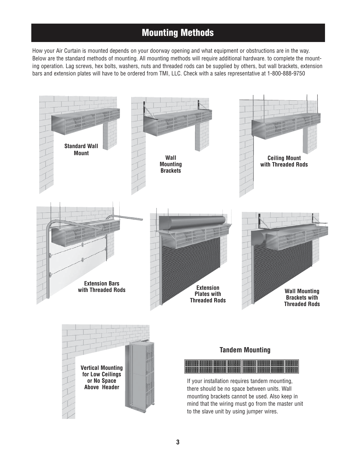## **Mounting Methods**

How your Air Curtain is mounted depends on your doorway opening and what equipment or obstructions are in the way. Below are the standard methods of mounting. All mounting methods will require additional hardware. to complete the mounting operation. Lag screws, hex bolts, washers, nuts and threaded rods can be supplied by others, but wall brackets, extension bars and extension plates will have to be ordered from TMI, LLC. Check with a sales representative at 1-800-888-9750

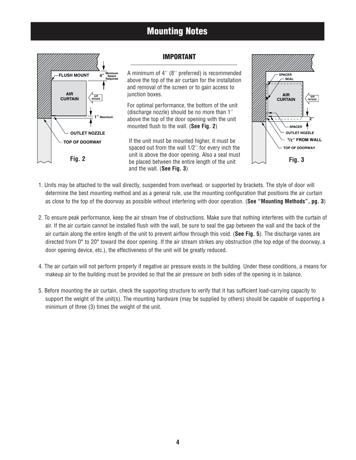### **Mounting Notes**



#### **IMPORTANT**

A minimum of 4'' (8'' preferred) is recommended above the top of the air curtain for the installation and removal of the screen or to gain access to junction boxes.

For optimal performance, the bottom of the unit (discharge nozzle) should be no more than 1'' above the top of the door opening with the unit mounted flush to the wall. (**See Fig. 2**)

If the unit must be mounted higher, it must be spaced out from the wall 1/2'' for every inch the unit is above the door opening. Also a seal must **Fig. 2 be placed between the entire length of the unit Fig. 3** and the wall. (**See Fig. 3**)



- 1. Units may be attached to the wall directly, suspended from overhead, or supported by brackets. The style of door will determine the best mounting method and as a general rule, use the mounting configuration that positions the air curtain as close to the top of the doorway as possible without interfering with door operation. (**See "Mounting Methods", pg. 3**)
- 2. To ensure peak performance, keep the air stream free of obstructions. Make sure that nothing interferes with the curtain of air. If the air curtain cannot be installed flush with the wall, be sure to seal the gap between the wall and the back of the air curtain along the entire length of the unit to prevent airflow through this void. (**See Fig. 5**). The discharge vanes are directed from 0° to 20° toward the door opening. If the air stream strikes any obstruction (the top edge of the doorway, a door opening device, etc.), the effectiveness of the unit will be greatly reduced.
- 4. The air curtain will not perform properly if negative air pressure exists in the building. Under these conditions, a means for makeup air to the building must be provided so that the air pressure on both sides of the opening is in balance.
- 5. Before mounting the air curtain, check the supporting structure to verify that it has sufficient load-carrying capacity to support the weight of the unit(s). The mounting hardware (may be supplied by others) should be capable of supporting a minimum of three (3) times the weight of the unit.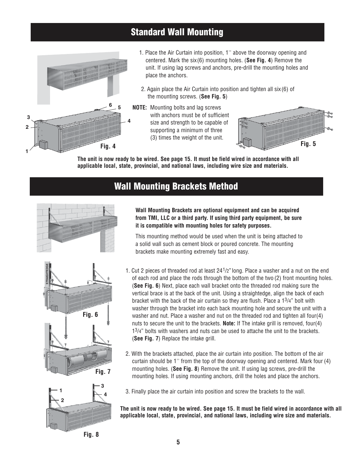## **Standard Wall Mounting**



- 1. Place the Air Curtain into position, 1'' above the doorway opening and centered. Mark the six(6) mounting holes. (**See Fig. 4**) Remove the unit. If using lag screws and anchors, pre-drill the mounting holes and place the anchors.
- 2. Again place the Air Curtain into position and tighten all six(6) of the mounting screws. (**See Fig. 5**)
- **NOTE:** Mounting bolts and lag screws with anchors must be of sufficient size and strength to be capable of supporting a minimum of three (3) times the weight of the unit.



**The unit is now ready to be wired. See page 15. It must be field wired in accordance with all applicable local, state, provincial, and national laws, including wire size and materials.**

#### **Wall Mounting Brackets Method**







**Wall Mounting Brackets are optional equipment and can be acquired from TMI, LLC or a third party. If using third party equipment, be sure it is compatible with mounting holes for safety purposes.** 

This mounting method would be used when the unit is being attached to a solid wall such as cement block or poured concrete. The mounting brackets make mounting extremely fast and easy.

- 1. Cut 2 pieces of threaded rod at least 241/2" long. Place a washer and a nut on the end of each rod and place the rods through the bottom of the two (2) front mounting holes. (**See Fig. 6**) Next, place each wall bracket onto the threaded rod making sure the vertical brace is at the back of the unit. Using a straightedge, align the back of each bracket with the back of the air curtain so they are flush. Place a 13/4" bolt with washer through the bracket into each back mounting hole and secure the unit with a washer and nut. Place a washer and nut on the threaded rod and tighten all four(4) nuts to secure the unit to the brackets. **Note:** If The intake grill is removed, four(4) 13/4" bolts with washers and nuts can be used to attache the unit to the brackets. (**See Fig. 7**) Replace the intake grill.
- 2. With the brackets attached, place the air curtain into position. The bottom of the air curtain should be 1'' from the top of the doorway opening and centered. Mark four (4) mounting holes. (**See Fig. 8**) Remove the unit. If using lag screws, pre-drill the mounting holes. If using mounting anchors, drill the holes and place the anchors.
- 3. Finally place the air curtain into position and screw the brackets to the wall.

**The unit is now ready to be wired. See page 15. It must be field wired in accordance with all applicable local, state, provincial, and national laws, including wire size and materials.**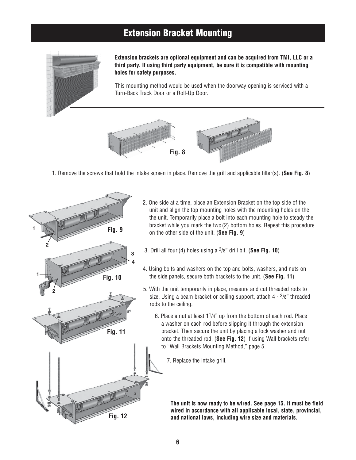#### **Extension Bracket Mounting**



**Extension brackets are optional equipment and can be acquired from TMI, LLC or a third party. If using third party equipment, be sure it is compatible with mounting holes for safety purposes.** 

This mounting method would be used when the doorway opening is serviced with a Turn-Back Track Door or a Roll-Up Door.



1. Remove the screws that hold the intake screen in place. Remove the grill and applicable filter(s). (**See Fig. 8**)



- 2. One side at a time, place an Extension Bracket on the top side of the unit and align the top mounting holes with the mounting holes on the the unit. Temporarily place a bolt into each mounting hole to steady the bracket while you mark the two (2) bottom holes. Repeat this procedure on the other side of the unit. (**See Fig. 9**)
- 3. Drill all four (4) holes using a 3/8" drill bit. (**See Fig. 10**)
- 4. Using bolts and washers on the top and bolts, washers, and nuts on the side panels, secure both brackets to the unit. (**See Fig. 11**)
- 5. With the unit temporarily in place, measure and cut threaded rods to size. Using a beam bracket or ceiling support, attach  $4 - \frac{3}{8}$ " threaded rods to the ceiling.
	- 6. Place a nut at least  $1<sup>1</sup>/4$ " up from the bottom of each rod. Place a washer on each rod before slipping it through the extension bracket. Then secure the unit by placing a lock washer and nut onto the threaded rod. (**See Fig. 12**) If using Wall brackets refer to "Wall Brackets Mounting Method," page 5.
		- 7. Replace the intake grill.

**The unit is now ready to be wired. See page 15. It must be field wired in accordance with all applicable local, state, provincial, and national laws, including wire size and materials.**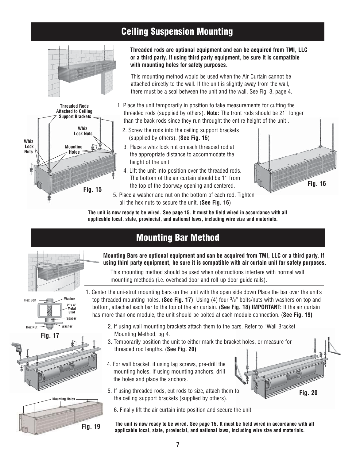## **Ceiling Suspension Mounting**





**Threaded rods are optional equipment and can be acquired from TMI, LLC or a third party. If using third party equipment, be sure it is compatible with mounting holes for safety purposes.** 

This mounting method would be used when the Air Curtain cannot be attached directly to the wall. If the unit is slightly away from the wall, there must be a seal between the unit and the wall. See Fig. 3, page 4.

- 1. Place the unit temporarily in position to take measurements for cutting the threaded rods (supplied by others). **Note:** The front rods should be 21" longer than the back rods since they run throught the entire height of the unit .
	- 2. Screw the rods into the ceiling support brackets (supplied by others). (**See Fig. 15**)
	- 3. Place a whiz lock nut on each threaded rod at the appropriate distance to accommodate the height of the unit.
	- 4. Lift the unit into position over the threaded rods. The bottom of the air curtain should be 1'' from the top of the doorway opening and centered.
- 5. Place a washer and nut on the bottom of each rod. Tighten all the hex nuts to secure the unit. (**See Fig. 16**)



**Fig. 20**

**The unit is now ready to be wired. See page 15. It must be field wired in accordance with all applicable local, state, provincial, and national laws, including wire size and materials.**

## **Mounting Bar Method**



**Mounting Bars are optional equipment and can be acquired from TMI, LLC or a third party. If using third party equipment, be sure it is compatible with air curtain unit for safety purposes.** 

This mounting method should be used when obstructions interfere with normal wall mounting methods (i.e. overhead door and roll-up door guide rails).



**Fig. 17**





- 1. Center the uni-strut mounting bars on the unit with the open side down Place the bar over the unit's top threaded mounting holes. (**See Fig. 17)** Using (4) four 3/8" bolts/nuts with washers on top and bottom, attached each bar to the top of the air curtain. (**See Fig. 18) IMPORTANT:** If the air curtain has more than one module, the unit should be bolted at each module connection. (**See Fig. 19)**
	- 2. If using wall mounting brackets attach them to the bars. Refer to "Wall Bracket Mounting Method, pg 4.
	- 3. Temporarily position the unit to either mark the bracket holes, or measure for threaded rod lengths. (**See Fig. 20)**
	- 4. For wall bracket. if using lag screws, pre-drill the mounting holes. If using mounting anchors, drill the holes and place the anchors.
	- 5. If using threaded rods, cut rods to size, attach them to the ceiling support brackets (supplied by others).
		- 6. Finally lift the air curtain into position and secure the unit.
	- **The unit is now ready to be wired. See page 15. It must be field wired in accordance with all applicable local, state, provincial, and national laws, including wire size and materials.**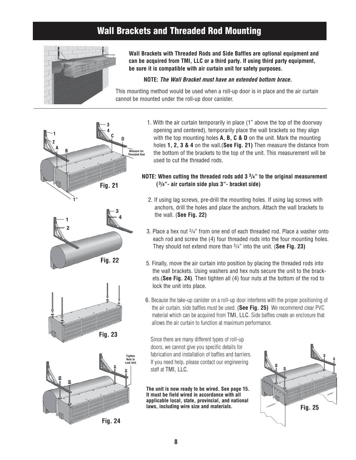### **Wall Brackets and Threaded Rod Mounting**



**Wall Brackets with Threaded Rods and Side Baffles are optional equipment and can be acquired from TMI, LLC or a third party. If using third party equipment, be sure it is compatible with air curtain unit for safety purposes.** 

#### **NOTE:** *The Wall Bracket must have an extended bottom brace.*

This mounting method would be used when a roll-up door is in place and the air curtain cannot be mounted under the roll-up door canister.









1. With the air curtain temporarily in place (1" above the top of the doorway opening and centered), temporarily place the wall brackets so they align with the top mounting holes **A, B, C & D** on the unit. Mark the mounting holes **1, 2, 3 & 4** on the wall.(**See Fig. 21)** Then measure the distance from the bottom of the brackets to the top of the unit. This measurement will be used to cut the threaded rods.

#### **NOTE: When cutting the threaded rods add 3 3/4" to the original measurement ( <sup>3</sup> Fig. 21 /4"- air curtain side plus 3"- bracket side)**

- 2. If using lag screws, pre-drill the mounting holes. If using lag screws with anchors, drill the holes and place the anchors. Attach the wall brackets to the wall. (**See Fig. 22)**
- 3. Place a hex nut  $\frac{3}{4}$ " from one end of each threaded rod. Place a washer onto each rod and screw the (4) four threaded rods into the four mounting holes. They should not extend more than 3/4" into the unit. (**See Fig. 23)**
- 5. Finally, move the air curtain into position by placing the threaded rods into the wall brackets. Using washers and hex nuts secure the unit to the brackets.(**See Fig. 24)**. Then tighten all (4) four nuts at the bottom of the rod to lock the unit into place.
- 6. Because the take-up canister on a roll-up door interferes with the proper positioning of the air curtain, side baffles must be used. (**See Fig. 25)** We recommend clear PVC material which can be acquired from TMI, LLC. Side baffles create an enclosure that allows the air curtain to function at maximum performance.

Since there are many different types of roll-up doors, we cannot give you specific details for fabrication and installation of baffles and barriers. If you need help, please contact our engineering staff at TMI, LLC.

**The unit is now ready to be wired. See page 15. It must be field wired in accordance with all applicable local, state, provincial, and national laws, including wire size and materials.**

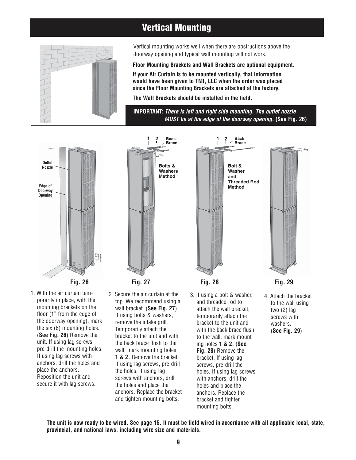## **Vertical Mounting**



Vertical mounting works well when there are obstructions above the doorway opening and typical wall mounting will not work.

**Floor Mounting Brackets and Wall Brackets are optional equipment.**

**If your Air Curtain is to be mounted vertically, that information would have been given to TMI, LLC when the order was placed since the Floor Mounting Brackets are attached at the factory.**

**The Wall Brackets should be installed in the field.**

**IMPORTANT:** *There is left and right side mounting. The outlet nozzle MUST be at the edge of the doorway opening.* **(See Fig. 26)** 







2. Secure the air curtain at the top. We recommend using a wall bracket. (**See Fig. 27**) If using bolts & washers, remove the intake grill. Temporarily attach the bracket to the unit and with the back brace flush to the wall, mark mounting holes **1 & 2.** Remove the bracket. If using lag screws, pre-drill the holes. If using lag screws with anchors, drill the holes and place the anchors. Replace the bracket and tighten mounting bolts.



3. If using a bolt & washer, and threaded rod to attach the wall bracket, temporarily attach the bracket to the unit and with the back brace flush to the wall, mark mounting holes **1 & 2.** (**See Fig. 28**) Remove the bracket. If using lag screws, pre-drill the holes. If using lag screws with anchors, drill the holes and place the anchors. Replace the bracket and tighten mounting bolts.

4. Attach the bracket to the wall using two (2) lag screws with washers. (**See Fig. 29**)

**The unit is now ready to be wired. See page 15. It must be field wired in accordance with all applicable local, state, provincial, and national laws, including wire size and materials.**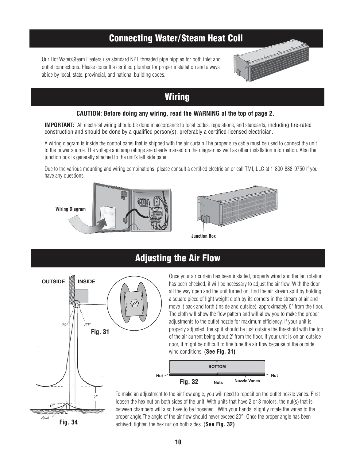### **Connecting Water/Steam Heat Coil**

Our Hot Water/Steam Heaters use standard NPT threaded pipe nipples for both inlet and outlet connections. Please consult a certified plumber for proper installation and always abide by local, state, provincial, and national building codes.



#### **Wiring**

#### **CAUTION: Before doing any wiring, read the WARNING at the top of page 2.**

**IMPORTANT:** All electrical wiring should be done in accordance to local codes, regulations, and standards, including fire-rated construction and should be done by a qualified person(s), preferably a certified licensed electrician.

A wiring diagram is inside the control panel that is shipped with the air curtain The proper size cable must be used to connect the unit to the power source. The voltage and amp ratings are clearly marked on the diagram as well as other installation information. Also the junction box is generally attached to the unit's left side panel.

Due to the various mounting and wiring combinations, please consult a certified electrician or call TMI, LLC at 1-800-888-9750 if you have any questions.

**Wiring Diagram**





**Junction Box**

### **Adjusting the Air Flow**



Once your air curtain has been installed, properly wired and the fan rotation has been checked, it will be necessary to adjust the air flow. With the door all the way open and the unit turned on, find the air stream split by holding a square piece of light weight cloth by its corners in the stream of air and move it back and forth (inside and outside), approximately 6" from the floor. The cloth will show the flow pattern and will allow you to make the proper adjustments to the outlet nozzle for maximum efficiency. If your unit is properly adjusted, the split should be just outside the threshold with the top of the air current being about 2' from the floor. If your unit is on an outside door, it might be difficult to fine tune the air flow because of the outside wind conditions. (**See Fig. 31)**



To make an adjustment to the air flow angle, you will need to reposition the outlet nozzle vanes. First loosen the hex nut on both sides of the unit. With units that have 2 or 3 motors, the nut(s) that is between chambers will also have to be loosened. With your hands, slightly rotate the vanes to the proper angle.The angle of the air flow should never exceed 20°. Once the proper angle has been achived, tighten the hex nut on both sides. (**See Fig. 32)**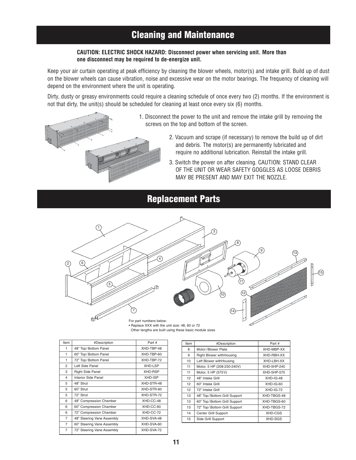## **Cleaning and Maintenance**

#### **CAUTION: ELECTRIC SHOCK HAZARD: Disconnect power when servicing unit. More than one disconnect may be required to de-energize unit.**

Keep your air curtain operating at peak efficiency by cleaning the blower wheels, motor(s) and intake grill. Build up of dust on the blower wheels can cause vibration, noise and excessive wear on the motor bearings. The frequency of cleaning will depend on the environment where the unit is operating.

Dirty, dusty or greasy environments could require a cleaning schedule of once every two (2) months. If the environment is not that dirty, the unit(s) should be scheduled for cleaning at least once every six (6) months.



- 1. Disconnect the power to the unit and remove the intake grill by removing the screws on the top and bottom of the screen.
	- 2. Vacuum and scrape (if necessary) to remove the build up of dirt and debris. The motor(s) are permanently lubricated and require no additional lubrication. Reinstall the intake grill.
	- 3. Switch the power on after cleaning. CAUTION: STAND CLEAR OF THE UNIT OR WEAR SAFETY GOGGLES AS LOOSE DEBRIS MAY BE PRESENT AND MAY EXIT THE NOZZLE.

#### **Replacement Parts**



• Replace XXX with the unit size: 48, 60 or 72 Other lengths are built using these basic module sizes

| Item                    | #Description               | Part #         |
|-------------------------|----------------------------|----------------|
| 1                       | 48" Top/Bottom Panel       | XHD-TBP-48     |
| 1                       | 60" Top/Bottom Panel       | XHD-TBP-60     |
| 1                       | 72" Top/Bottom Panel       | XHD-TBP-72     |
| $\overline{2}$          | Left Side Panel            | <b>XHD-LSP</b> |
| 3                       | <b>Right Side Panel</b>    | XHD-RSP        |
| $\overline{\mathbf{4}}$ | Interior Side Panel        | XHD-ISP        |
| 5                       | 48" Strut                  | XHD-STR-48     |
| 5                       | 60" Strut                  | XHD-STR-60     |
| 5                       | 72" Strut                  | XHD-STR-72     |
| 6                       | 48" Compression Chamber    | XHD-CC-48      |
| 6                       | 60" Compression Chamber    | XHD-CC-60      |
| 6                       | 72" Compression Chamber    | XHD-CC-72      |
| 7                       | 48" Steering Vane Assembly | XHD-SVA-48     |
| 7                       | 60" Steering Vane Assembly | XHD-SVA-60     |
| $\overline{7}$          | 72" Steering Vane Assembly | XHD-SVA-72     |

| Part #<br>XHD-MBP-XX<br>XHD-RBH-XX |
|------------------------------------|
|                                    |
|                                    |
|                                    |
| XHD-LBH-XX                         |
| XHD-5HP-240                        |
| XHD-5HP-575                        |
| $XHD$ -IG-48                       |
| $XHD$ -IG-60                       |
| $XHD-G-72$                         |
| XHD-TBGS-48                        |
| XHD-TBGS-60                        |
| XHD-TBGS-72                        |
| XHD-CGS                            |
| XHD-SGS                            |
|                                    |